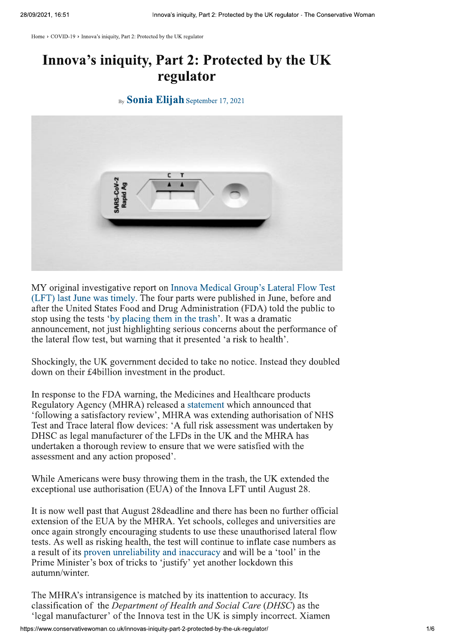Home > COVID-19 > Innova's iniquity, Part 2: Protected by the UK regulator

## Innova's iniquity, Part 2: Protected by the UK regulator

By **Sonia Elijah** September 17, 2021



MY original investigative report on Innova Medical Group's Lateral Flow Test (LFT) last June was timely. The four parts were published in June, before and after the United States Food and Drug Administration (FDA) told the public to stop using the tests 'by placing them in the trash'. It was a dramatic announcement, not just highlighting serious concerns about the performance of the lateral flow test, but warning that it presented 'a risk to health'.

Shockingly, the UK government decided to take no notice. Instead they doubled down on their £4billion investment in the product.

In response to the FDA warning, the Medicines and Healthcare products Regulatory Agency (MHRA) released a statement which announced that 'following a satisfactory review', MHRA was extending authorisation of NHS Test and Trace lateral flow devices: 'A full risk assessment was undertaken by DHSC as legal manufacturer of the LFDs in the UK and the MHRA has undertaken a thorough review to ensure that we were satisfied with the assessment and any action proposed'.

While Americans were busy throwing them in the trash, the UK extended the exceptional use authorisation (EUA) of the Innova LFT until August 28.

It is now well past that August 28 deadline and there has been no further official extension of the EUA by the MHRA. Yet schools, colleges and universities are once again strongly encouraging students to use these unauthorised lateral flow tests. As well as risking health, the test will continue to inflate case numbers as a result of its proven unreliability and inaccuracy and will be a 'tool' in the Prime Minister's box of tricks to 'justify' yet another lockdown this autumn/winter.

The MHRA's intransigence is matched by its inattention to accuracy. Its classification of the *Department of Health and Social Care (DHSC)* as the 'legal manufacturer' of the Innova test in the UK is simply incorrect. Xiamen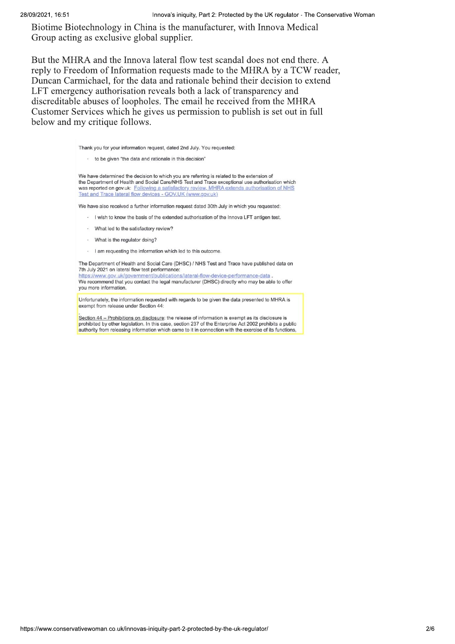Biotime Biotechnology in China is the manufacturer, with Innova Medical Group acting as exclusive global supplier.

But the MHRA and the Innova lateral flow test scandal does not end there. A reply to Freedom of Information requests made to the MHRA by a TCW reader, Duncan Carmichael, for the data and rationale behind their decision to extend LFT emergency authorisation reveals both a lack of transparency and discreditable abuses of loopholes. The email he received from the MHRA Customer Services which he gives us permission to publish is set out in full below and my critique follows.

Thank you for your information request, dated 2nd July. You requested:

· to be given "the data and rationale in this decision"

We have determined the decision to which you are referring is related to the extension of the Department of Health and Social Care/NHS Test and Trace exceptional use authorisation which was reported on gov.uk: Following a satisfactory review. MHRA extends authorisation of NHS Test and Trace lateral flow devices - GOV.UK (www.gov.uk)

We have also received a further information request dated 30th July in which you requested:

- I wish to know the basis of the extended authorisation of the Innova LFT antigen test.
- What led to the satisfactory review?
- · What is the regulator doing?
- I am requesting the information which led to this outcome.

The Department of Health and Social Care (DHSC) / NHS Test and Trace have published data on 7th July 2021 on lateral flow test performance:

https://www.gov.uk/government/publications/lateral-flow-device-performance-data

We recommend that you contact the legal manufacturer (DHSC) directly who may be able to offer you more information.

Unfortunately, the information requested with regards to be given the data presented to MHRA is exempt from release under Section 44:

Section 44 - Prohibitions on disclosure: the release of information is exempt as its disclosure is prohibited by other legislation. In this case, section 237 of the Enterprise Act 2002 prohibits a public authority from releasing information which came to it in connection with the exercise of its functions.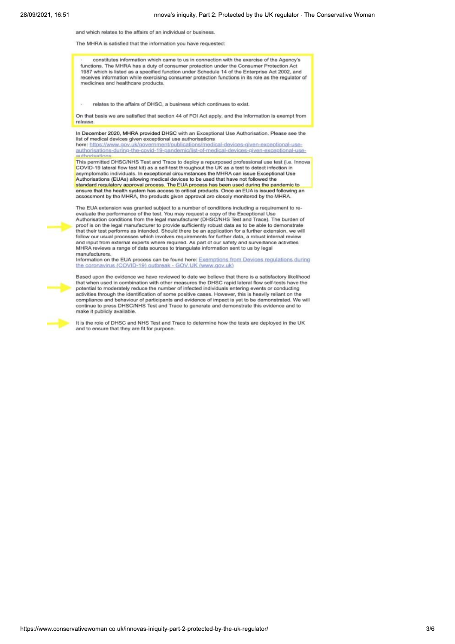and which relates to the affairs of an individual or business.

The MHRA is satisfied that the information you have requested:

constitutes information which came to us in connection with the exercise of the Agency's functions. The MHRA has a duty of consumer protection under the Consumer Protection Act 1987 which is listed as a specified function under Schedule 14 of the Enterprise Act 2002, and receives information while exercising consumer protection functions in its role as the regulator of medicines and healthcare products.

relates to the affairs of DHSC, a business which continues to exist

On that basis we are satisfied that section 44 of FOI Act apply, and the information is exempt from release

In December 2020, MHRA provided DHSC with an Exceptional Use Authorisation. Please see the list of medical devices given exceptional use authorisations

here: https://www.gov.uk/government/publications/medical-devices-given-exceptional-useauthorisations-during-the-covid-19-pandemic/list-of-medical-devices-given-exceptional-use-

This permitted DHSC/NHS Test and Trace to deploy a repurposed professional use test (i.e. Innova<br>COVID-19 lateral flow test kit) as a self-test throughout the UK as a test to detect infection in asymptomatic individuals. In exceptional circumstances the MHRA can issue Exceptional Use<br>Authorisations (EUAs) allowing medical devices to be used that have not followed the standard requiatory approval process. The EUA process has been used during the pandemic to ensure that the health system has access to critical products. Once an EUA is issued following an association that the health system has access to critical products. Once an EUA is issued following an association that MHRA

The EUA extension was granted subject to a number of conditions including a requirement to re-<br>evaluate the performance of the test. You may request a copy of the Exceptional Use<br>Authorisation conditions from the legal man proof is on the legal manufacturer to provide sufficiently robust data as to be able to demonstrate that their test performs as intended. Should there be an application for a further extension, we will<br>follow our usual processes which involves requirements for further data, a robust internal review and input from external experts where required. As part of our safety and surveillance activities MHRA reviews a range of data sources to triangulate information sent to us by legal manufacturers

Information on the EUA process can be found here: Exemptions from Devices regulations during the coronavirus (COVID-19) outbreak - GOV.UK (www.gov.uk)



Based upon the evidence we have reviewed to date we believe that there is a satisfactory likelihood that when used in combination with other measures the DHSC rapid lateral flow self-tests have the potential to moderately reduce the number of infected individuals entering events or conducting activities through the identification of some positive cases. However, this is heavily reliant on the compliance and behaviour of participants and evidence of impact is yet to be demonstrated. We will continue to press DHSC/NHS Test and Trace to generate and demonstrate this evidence and to make it publicly available

It is the role of DHSC and NHS Test and Trace to determine how the tests are deployed in the UK and to ensure that they are fit for purpose.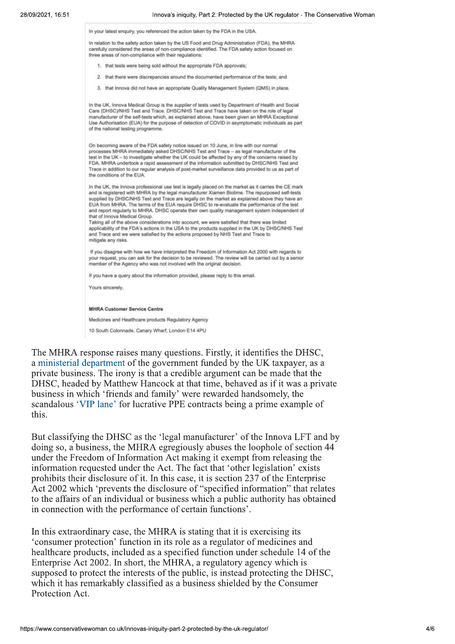In your latest enguiry, you referenced the action taken by the FDA in the USA.

In relation to the safety action taken by the US Food and Drug Administration (FDA), the MHRA carefully considered the areas of non-compliance identified. The FDA safety action focused on three areas of non-compliance with their regulations:

- 1. that tests were being sold without the appropriate FDA approvals:
- 2. that there were discrepancies around the documented performance of the tests; and
- 3. that Innova did not have an appropriate Quality Management System (QMS) in place.

In the UK, Innova Medical Group is the supplier of tests used by Department of Health and Social Care (DHSC)/NHS Test and Trace. DHSC/NHS Test and Trace have taken on the role of legal manufacturer of the self-tests which as explained above have been given an MHRA Exceptional Use Authorisation (EUA) for the purpose of detection of COVID in asymptomatic individuals as part of the national testing programme.

On becoming aware of the FDA safety notice issued on 10 June, in line with our normal processes MHRA immediately asked DHSC/NHS Test and Trace - as legal manufacturer of the test in the UK - to investigate whether the UK could be affected by any of the concerns raised by FDA. MHRA undertook a rapid assessment of the information submitted by DHSC/NHS Test and Trace in addition to our regular analysis of post-market surveillance data provided to us as part of the conditions of the EUA

In the UK, the Innova professional use test is legally placed on the market as it carries the CE mark and is registered with MHRA by the legal manufacturer Xiamen Biotime. The repurposed self-tests supplied by DHSC/NHS Test and Trace are legally on the market as explained above they have an<br>EUA from MHRA. The terms of the EUA require DHSC to re-evaluate the performance of the test and report regularly to MHRA. DHSC operate their own quality management system independent of that of Innova Medical Group.

Taking all of the above considerations into account, we were satisfied that there was limited applicability of the FDA's actions in the USA to the products supplied in the UK by DHSC/NHS Test and Trace and we were satisfied by the actions proposed by NHS Test and Trace to mitigate any risks

If you disagree with how we have interpreted the Freedom of Information Act 2000 with regards to your request, you can ask for the decision to be reviewed. The review will be carried out by a senior member of the Agency who was not involved with the original decision.

If you have a query about the information provided, please reply to this email.

Yours sincerely.

## **MHRA Customer Service Centre**

Medicines and Healthcare products Regulatory Agency

10 South Colonnade, Canary Wharf, London E14 4PU

The MHRA response raises many questions. Firstly, it identifies the DHSC, a ministerial department of the government funded by the UK taxpayer, as a private business. The irony is that a credible argument can be made that the DHSC, headed by Matthew Hancock at that time, behaved as if it was a private business in which 'friends and family' were rewarded handsomely, the scandalous 'VIP lane' for lucrative PPE contracts being a prime example of this.

But classifying the DHSC as the 'legal manufacturer' of the Innova LFT and by doing so, a business, the MHRA egregiously abuses the loophole of section 44 under the Freedom of Information Act making it exempt from releasing the information requested under the Act. The fact that 'other legislation' exists prohibits their disclosure of it. In this case, it is section 237 of the Enterprise Act 2002 which 'prevents the disclosure of "specified information" that relates to the affairs of an individual or business which a public authority has obtained in connection with the performance of certain functions'.

In this extraordinary case, the MHRA is stating that it is exercising its 'consumer protection' function in its role as a regulator of medicines and healthcare products, included as a specified function under schedule 14 of the Enterprise Act 2002. In short, the MHRA, a regulatory agency which is supposed to protect the interests of the public, is instead protecting the DHSC, which it has remarkably classified as a business shielded by the Consumer Protection Act.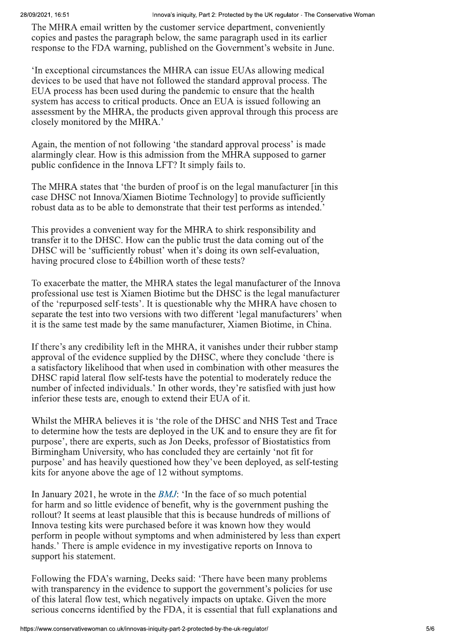The MHRA email written by the customer service department, conveniently copies and pastes the paragraph below, the same paragraph used in its earlier response to the FDA warning, published on the Government's website in June.

In exceptional circumstances the MHRA can issue EUAs allowing medical devices to be used that have not followed the standard approval process. The EUA process has been used during the pandemic to ensure that the health system has access to critical products. Once an EUA is issued following an assessment by the MHRA, the products given approval through this process are. closely monitored by the MHRA.'

Again, the mention of not following 'the standard approval process' is made alarmingly clear. How is this admission from the MHRA supposed to garner public confidence in the Innova LFT? It simply fails to.

The MHRA states that 'the burden of proof is on the legal manufacturer [in this case DHSC not Innova/Xiamen Biotime Technology] to provide sufficiently robust data as to be able to demonstrate that their test performs as intended.'

This provides a convenient way for the MHRA to shirk responsibility and transfer it to the DHSC. How can the public trust the data coming out of the DHSC will be 'sufficiently robust' when it's doing its own self-evaluation, having procured close to £4billion worth of these tests?

To exacerbate the matter, the MHRA states the legal manufacturer of the Innova professional use test is Xiamen Biotime but the DHSC is the legal manufacturer of the 'repurposed self-tests'. It is questionable why the MHRA have chosen to separate the test into two versions with two different 'legal manufacturers' when it is the same test made by the same manufacturer, Xiamen Biotime, in China.

If there's any credibility left in the MHRA, it vanishes under their rubber stamp approval of the evidence supplied by the DHSC, where they conclude 'there is a satisfactory likelihood that when used in combination with other measures the DHSC rapid lateral flow self-tests have the potential to moderately reduce the number of infected individuals.' In other words, they're satisfied with just how inferior these tests are, enough to extend their EUA of it.

Whilst the MHRA believes it is 'the role of the DHSC and NHS Test and Trace to determine how the tests are deployed in the UK and to ensure they are fit for purpose', there are experts, such as Jon Deeks, professor of Biostatistics from Birmingham University, who has concluded they are certainly 'not fit for purpose' and has heavily questioned how they've been deployed, as self-testing kits for anyone above the age of 12 without symptoms.

In January 2021, he wrote in the *BMJ*: 'In the face of so much potential for harm and so little evidence of benefit, why is the government pushing the rollout? It seems at least plausible that this is because hundreds of millions of Innova testing kits were purchased before it was known how they would perform in people without symptoms and when administered by less than expert hands.' There is ample evidence in my investigative reports on Innova to support his statement.

Following the<br>
with transparer<br>
of this lateral f<br>
serious concern<br>
https://www.conservative s warning, Deeks said: 'There have been m<br>
i the evidence to support the government's<br>
est, which negatively impacts on uptake. G<br>
entified by the FDA, it is essential that full<br>
co.uk/innovas-iniquity-part-2-protected-by-Following the FDA's warning, Deeks said: 'There have been many problems with transparency in the evidence to support the government's policies for use of this lateral flow test, which negatively impacts on uptake. Given the more serious concerns identified by the FDA, it is essential that full explanations and